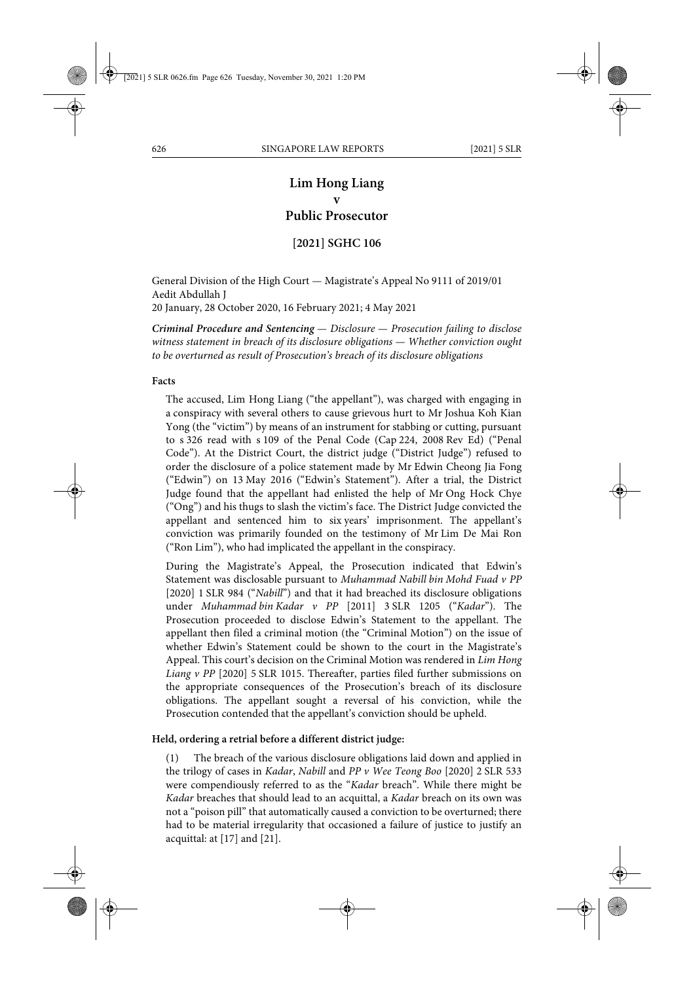# **Lim Hong Liang v Public Prosecutor**

# **[2021] SGHC 106**

General Division of the High Court — Magistrate's Appeal No 9111 of 2019/01 Aedit Abdullah J 20 January, 28 October 2020, 16 February 2021; 4 May 2021

*Criminal Procedure and Sentencing — Disclosure — Prosecution failing to disclose witness statement in breach of its disclosure obligations — Whether conviction ought to be overturned as result of Prosecution's breach of its disclosure obligations*

#### **Facts**

The accused, Lim Hong Liang ("the appellant"), was charged with engaging in a conspiracy with several others to cause grievous hurt to Mr Joshua Koh Kian Yong (the "victim") by means of an instrument for stabbing or cutting, pursuant to s 326 read with s 109 of the Penal Code (Cap 224, 2008 Rev Ed) ("Penal Code"). At the District Court, the district judge ("District Judge") refused to order the disclosure of a police statement made by Mr Edwin Cheong Jia Fong ("Edwin") on 13 May 2016 ("Edwin's Statement"). After a trial, the District Judge found that the appellant had enlisted the help of Mr Ong Hock Chye ("Ong") and his thugs to slash the victim's face. The District Judge convicted the appellant and sentenced him to six years' imprisonment. The appellant's conviction was primarily founded on the testimony of Mr Lim De Mai Ron ("Ron Lim"), who had implicated the appellant in the conspiracy.

During the Magistrate's Appeal, the Prosecution indicated that Edwin's Statement was disclosable pursuant to *Muhammad Nabill bin Mohd Fuad v PP* [2020] 1 SLR 984 ("*Nabill*") and that it had breached its disclosure obligations under *Muhammad bin Kadar v PP* [2011] 3 SLR 1205 ("*Kadar*"). The Prosecution proceeded to disclose Edwin's Statement to the appellant. The appellant then filed a criminal motion (the "Criminal Motion") on the issue of whether Edwin's Statement could be shown to the court in the Magistrate's Appeal. This court's decision on the Criminal Motion was rendered in *Lim Hong Liang v PP* [2020] 5 SLR 1015. Thereafter, parties filed further submissions on the appropriate consequences of the Prosecution's breach of its disclosure obligations. The appellant sought a reversal of his conviction, while the Prosecution contended that the appellant's conviction should be upheld.

#### **Held, ordering a retrial before a different district judge:**

(1) The breach of the various disclosure obligations laid down and applied in the trilogy of cases in *Kadar*, *Nabill* and *PP v Wee Teong Boo* [2020] 2 SLR 533 were compendiously referred to as the "*Kadar* breach". While there might be *Kadar* breaches that should lead to an acquittal, a *Kadar* breach on its own was not a "poison pill" that automatically caused a conviction to be overturned; there had to be material irregularity that occasioned a failure of justice to justify an acquittal: at [17] and [21].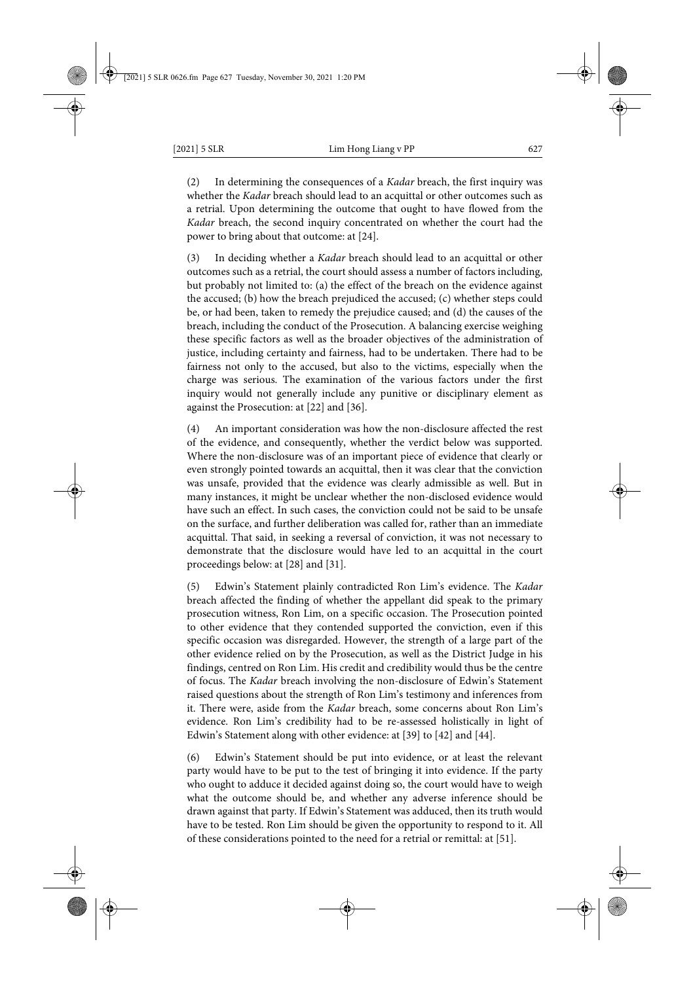(2) In determining the consequences of a *Kadar* breach, the first inquiry was whether the *Kadar* breach should lead to an acquittal or other outcomes such as a retrial. Upon determining the outcome that ought to have flowed from the *Kadar* breach, the second inquiry concentrated on whether the court had the power to bring about that outcome: at [24].

In deciding whether a *Kadar* breach should lead to an acquittal or other outcomes such as a retrial, the court should assess a number of factors including, but probably not limited to: (a) the effect of the breach on the evidence against the accused; (b) how the breach prejudiced the accused; (c) whether steps could be, or had been, taken to remedy the prejudice caused; and (d) the causes of the breach, including the conduct of the Prosecution. A balancing exercise weighing these specific factors as well as the broader objectives of the administration of justice, including certainty and fairness, had to be undertaken. There had to be fairness not only to the accused, but also to the victims, especially when the charge was serious. The examination of the various factors under the first inquiry would not generally include any punitive or disciplinary element as against the Prosecution: at [22] and [36].

An important consideration was how the non-disclosure affected the rest of the evidence, and consequently, whether the verdict below was supported. Where the non-disclosure was of an important piece of evidence that clearly or even strongly pointed towards an acquittal, then it was clear that the conviction was unsafe, provided that the evidence was clearly admissible as well. But in many instances, it might be unclear whether the non-disclosed evidence would have such an effect. In such cases, the conviction could not be said to be unsafe on the surface, and further deliberation was called for, rather than an immediate acquittal. That said, in seeking a reversal of conviction, it was not necessary to demonstrate that the disclosure would have led to an acquittal in the court proceedings below: at [28] and [31].

(5) Edwin's Statement plainly contradicted Ron Lim's evidence. The *Kadar* breach affected the finding of whether the appellant did speak to the primary prosecution witness, Ron Lim, on a specific occasion. The Prosecution pointed to other evidence that they contended supported the conviction, even if this specific occasion was disregarded. However, the strength of a large part of the other evidence relied on by the Prosecution, as well as the District Judge in his findings, centred on Ron Lim. His credit and credibility would thus be the centre of focus. The *Kadar* breach involving the non-disclosure of Edwin's Statement raised questions about the strength of Ron Lim's testimony and inferences from it. There were, aside from the *Kadar* breach, some concerns about Ron Lim's evidence. Ron Lim's credibility had to be re-assessed holistically in light of Edwin's Statement along with other evidence: at [39] to [42] and [44].

(6) Edwin's Statement should be put into evidence, or at least the relevant party would have to be put to the test of bringing it into evidence. If the party who ought to adduce it decided against doing so, the court would have to weigh what the outcome should be, and whether any adverse inference should be drawn against that party. If Edwin's Statement was adduced, then its truth would have to be tested. Ron Lim should be given the opportunity to respond to it. All of these considerations pointed to the need for a retrial or remittal: at [51].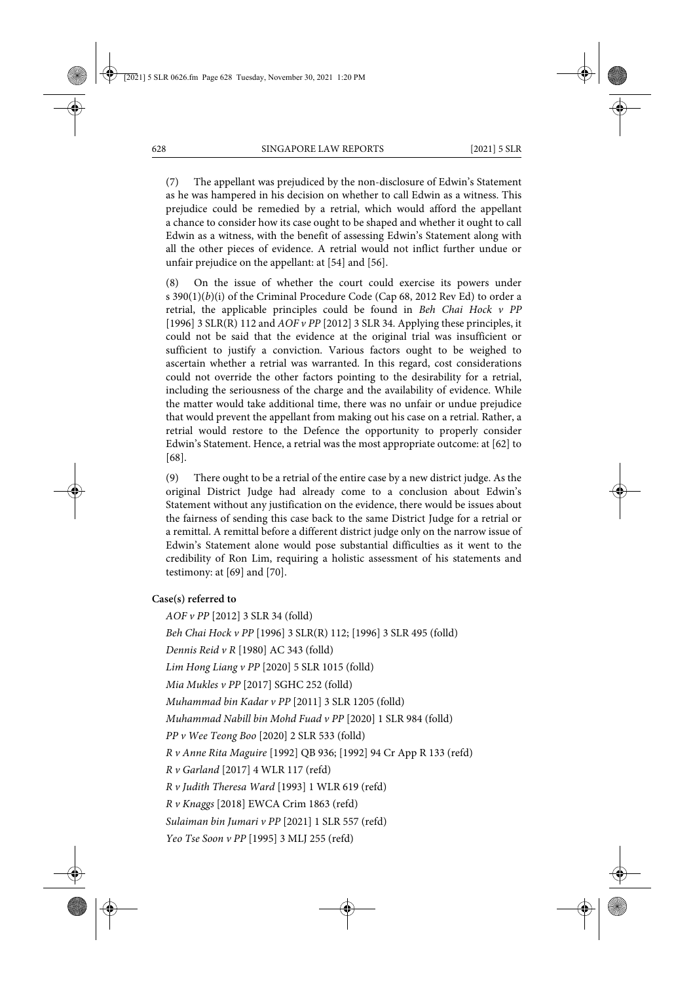(7) The appellant was prejudiced by the non-disclosure of Edwin's Statement as he was hampered in his decision on whether to call Edwin as a witness. This prejudice could be remedied by a retrial, which would afford the appellant a chance to consider how its case ought to be shaped and whether it ought to call Edwin as a witness, with the benefit of assessing Edwin's Statement along with all the other pieces of evidence. A retrial would not inflict further undue or unfair prejudice on the appellant: at [54] and [56].

(8) On the issue of whether the court could exercise its powers under s 390(1)(*b*)(i) of the Criminal Procedure Code (Cap 68, 2012 Rev Ed) to order a retrial, the applicable principles could be found in *Beh Chai Hock v PP* [1996] 3 SLR(R) 112 and *AOF v PP* [2012] 3 SLR 34. Applying these principles, it could not be said that the evidence at the original trial was insufficient or sufficient to justify a conviction. Various factors ought to be weighed to ascertain whether a retrial was warranted. In this regard, cost considerations could not override the other factors pointing to the desirability for a retrial, including the seriousness of the charge and the availability of evidence. While the matter would take additional time, there was no unfair or undue prejudice that would prevent the appellant from making out his case on a retrial. Rather, a retrial would restore to the Defence the opportunity to properly consider Edwin's Statement. Hence, a retrial was the most appropriate outcome: at [62] to [68].

(9) There ought to be a retrial of the entire case by a new district judge. As the original District Judge had already come to a conclusion about Edwin's Statement without any justification on the evidence, there would be issues about the fairness of sending this case back to the same District Judge for a retrial or a remittal. A remittal before a different district judge only on the narrow issue of Edwin's Statement alone would pose substantial difficulties as it went to the credibility of Ron Lim, requiring a holistic assessment of his statements and testimony: at [69] and [70].

#### **Case(s) referred to**

*AOF v PP* [2012] 3 SLR 34 (folld) *Beh Chai Hock v PP* [1996] 3 SLR(R) 112; [1996] 3 SLR 495 (folld) *Dennis Reid v R* [1980] AC 343 (folld) *Lim Hong Liang v PP* [2020] 5 SLR 1015 (folld) *Mia Mukles v PP* [2017] SGHC 252 (folld) *Muhammad bin Kadar v PP* [2011] 3 SLR 1205 (folld) *Muhammad Nabill bin Mohd Fuad v PP* [2020] 1 SLR 984 (folld) *PP v Wee Teong Boo* [2020] 2 SLR 533 (folld) *R v Anne Rita Maguire* [1992] QB 936; [1992] 94 Cr App R 133 (refd) *R v Garland* [2017] 4 WLR 117 (refd) *R v Judith Theresa Ward* [1993] 1 WLR 619 (refd) *R v Knaggs* [2018] EWCA Crim 1863 (refd) *Sulaiman bin Jumari v PP* [2021] 1 SLR 557 (refd) *Yeo Tse Soon v PP* [1995] 3 MLJ 255 (refd)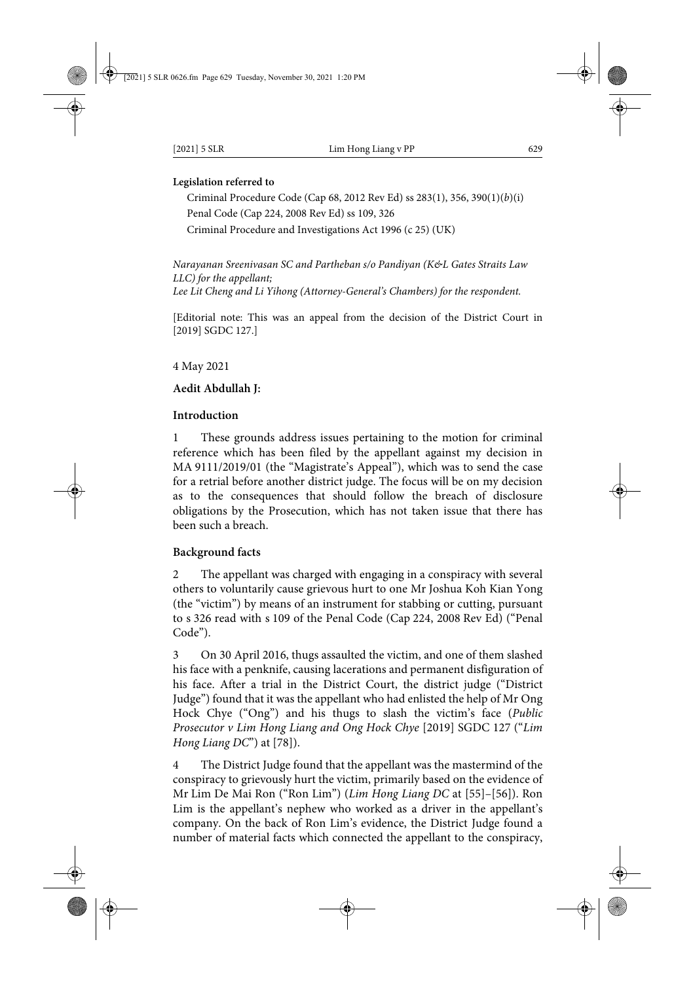#### **Legislation referred to**

Criminal Procedure Code (Cap 68, 2012 Rev Ed) ss 283(1), 356, 390(1)(*b*)(i) Penal Code (Cap 224, 2008 Rev Ed) ss 109, 326 Criminal Procedure and Investigations Act 1996 (c 25) (UK)

*Narayanan Sreenivasan SC and Partheban s/o Pandiyan (K&L Gates Straits Law LLC) for the appellant; Lee Lit Cheng and Li Yihong (Attorney-General's Chambers) for the respondent.*

[Editorial note: This was an appeal from the decision of the District Court in [2019] SGDC 127.]

4 May 2021

# **Aedit Abdullah J:**

#### **Introduction**

These grounds address issues pertaining to the motion for criminal reference which has been filed by the appellant against my decision in MA 9111/2019/01 (the "Magistrate's Appeal"), which was to send the case for a retrial before another district judge. The focus will be on my decision as to the consequences that should follow the breach of disclosure obligations by the Prosecution, which has not taken issue that there has been such a breach.

# **Background facts**

2 The appellant was charged with engaging in a conspiracy with several others to voluntarily cause grievous hurt to one Mr Joshua Koh Kian Yong (the "victim") by means of an instrument for stabbing or cutting, pursuant to s 326 read with s 109 of the Penal Code (Cap 224, 2008 Rev Ed) ("Penal Code").

3 On 30 April 2016, thugs assaulted the victim, and one of them slashed his face with a penknife, causing lacerations and permanent disfiguration of his face. After a trial in the District Court, the district judge ("District Judge") found that it was the appellant who had enlisted the help of Mr Ong Hock Chye ("Ong") and his thugs to slash the victim's face (*Public Prosecutor v Lim Hong Liang and Ong Hock Chye* [2019] SGDC 127 ("*Lim Hong Liang DC*") at [78]).

The District Judge found that the appellant was the mastermind of the conspiracy to grievously hurt the victim, primarily based on the evidence of Mr Lim De Mai Ron ("Ron Lim") (*Lim Hong Liang DC* at [55]–[56]). Ron Lim is the appellant's nephew who worked as a driver in the appellant's company. On the back of Ron Lim's evidence, the District Judge found a number of material facts which connected the appellant to the conspiracy,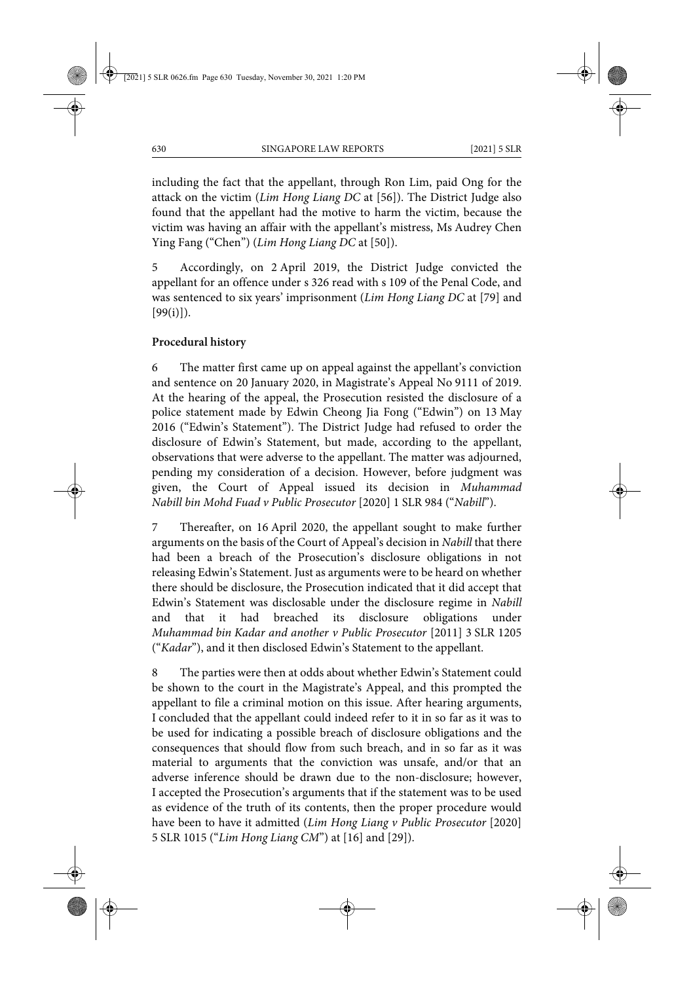including the fact that the appellant, through Ron Lim, paid Ong for the attack on the victim (*Lim Hong Liang DC* at [56]). The District Judge also found that the appellant had the motive to harm the victim, because the victim was having an affair with the appellant's mistress, Ms Audrey Chen Ying Fang ("Chen") (*Lim Hong Liang DC* at [50]).

5 Accordingly, on 2 April 2019, the District Judge convicted the appellant for an offence under s 326 read with s 109 of the Penal Code, and was sentenced to six years' imprisonment (*Lim Hong Liang DC* at [79] and  $[99(i)]$ .

#### **Procedural history**

6 The matter first came up on appeal against the appellant's conviction and sentence on 20 January 2020, in Magistrate's Appeal No 9111 of 2019. At the hearing of the appeal, the Prosecution resisted the disclosure of a police statement made by Edwin Cheong Jia Fong ("Edwin") on 13 May 2016 ("Edwin's Statement"). The District Judge had refused to order the disclosure of Edwin's Statement, but made, according to the appellant, observations that were adverse to the appellant. The matter was adjourned, pending my consideration of a decision. However, before judgment was given, the Court of Appeal issued its decision in *Muhammad Nabill bin Mohd Fuad v Public Prosecutor* [2020] 1 SLR 984 ("*Nabill*").

7 Thereafter, on 16 April 2020, the appellant sought to make further arguments on the basis of the Court of Appeal's decision in *Nabill* that there had been a breach of the Prosecution's disclosure obligations in not releasing Edwin's Statement. Just as arguments were to be heard on whether there should be disclosure, the Prosecution indicated that it did accept that Edwin's Statement was disclosable under the disclosure regime in *Nabill* and that it had breached its disclosure obligations under *Muhammad bin Kadar and another v Public Prosecutor* [2011] 3 SLR 1205 ("*Kadar*"), and it then disclosed Edwin's Statement to the appellant.

8 The parties were then at odds about whether Edwin's Statement could be shown to the court in the Magistrate's Appeal, and this prompted the appellant to file a criminal motion on this issue. After hearing arguments, I concluded that the appellant could indeed refer to it in so far as it was to be used for indicating a possible breach of disclosure obligations and the consequences that should flow from such breach, and in so far as it was material to arguments that the conviction was unsafe, and/or that an adverse inference should be drawn due to the non-disclosure; however, I accepted the Prosecution's arguments that if the statement was to be used as evidence of the truth of its contents, then the proper procedure would have been to have it admitted (*Lim Hong Liang v Public Prosecutor* [2020] 5 SLR 1015 ("*Lim Hong Liang CM*") at [16] and [29]).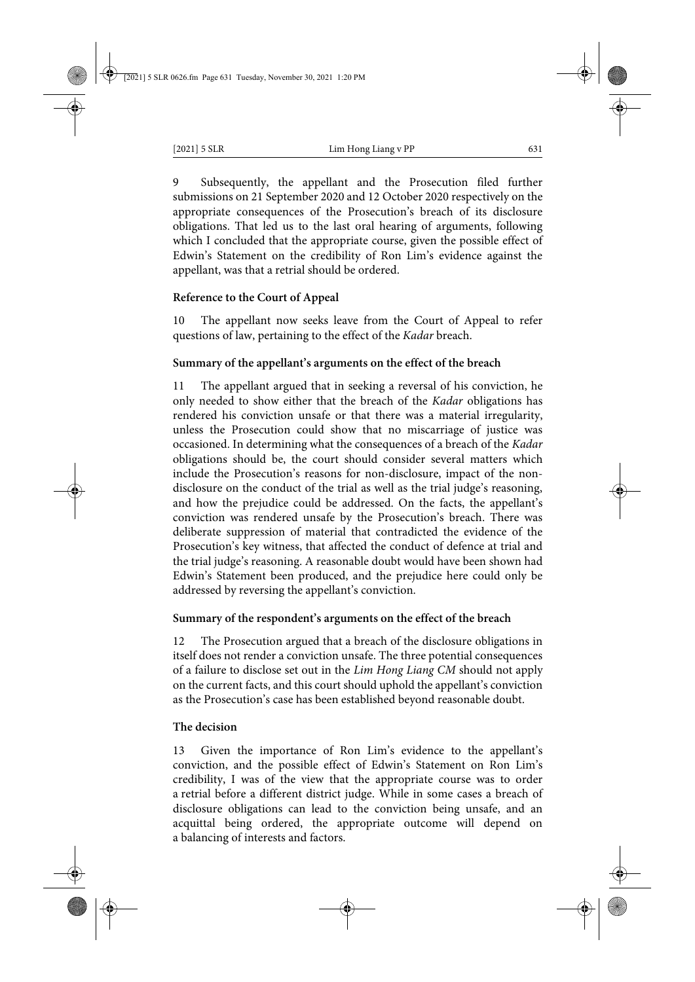9 Subsequently, the appellant and the Prosecution filed further submissions on 21 September 2020 and 12 October 2020 respectively on the appropriate consequences of the Prosecution's breach of its disclosure obligations. That led us to the last oral hearing of arguments, following which I concluded that the appropriate course, given the possible effect of Edwin's Statement on the credibility of Ron Lim's evidence against the appellant, was that a retrial should be ordered.

# **Reference to the Court of Appeal**

The appellant now seeks leave from the Court of Appeal to refer questions of law, pertaining to the effect of the *Kadar* breach.

# **Summary of the appellant's arguments on the effect of the breach**

11 The appellant argued that in seeking a reversal of his conviction, he only needed to show either that the breach of the *Kadar* obligations has rendered his conviction unsafe or that there was a material irregularity, unless the Prosecution could show that no miscarriage of justice was occasioned. In determining what the consequences of a breach of the *Kadar* obligations should be, the court should consider several matters which include the Prosecution's reasons for non-disclosure, impact of the nondisclosure on the conduct of the trial as well as the trial judge's reasoning, and how the prejudice could be addressed. On the facts, the appellant's conviction was rendered unsafe by the Prosecution's breach. There was deliberate suppression of material that contradicted the evidence of the Prosecution's key witness, that affected the conduct of defence at trial and the trial judge's reasoning. A reasonable doubt would have been shown had Edwin's Statement been produced, and the prejudice here could only be addressed by reversing the appellant's conviction.

# **Summary of the respondent's arguments on the effect of the breach**

The Prosecution argued that a breach of the disclosure obligations in itself does not render a conviction unsafe. The three potential consequences of a failure to disclose set out in the *Lim Hong Liang CM* should not apply on the current facts, and this court should uphold the appellant's conviction as the Prosecution's case has been established beyond reasonable doubt.

# **The decision**

13 Given the importance of Ron Lim's evidence to the appellant's conviction, and the possible effect of Edwin's Statement on Ron Lim's credibility, I was of the view that the appropriate course was to order a retrial before a different district judge. While in some cases a breach of disclosure obligations can lead to the conviction being unsafe, and an acquittal being ordered, the appropriate outcome will depend on a balancing of interests and factors.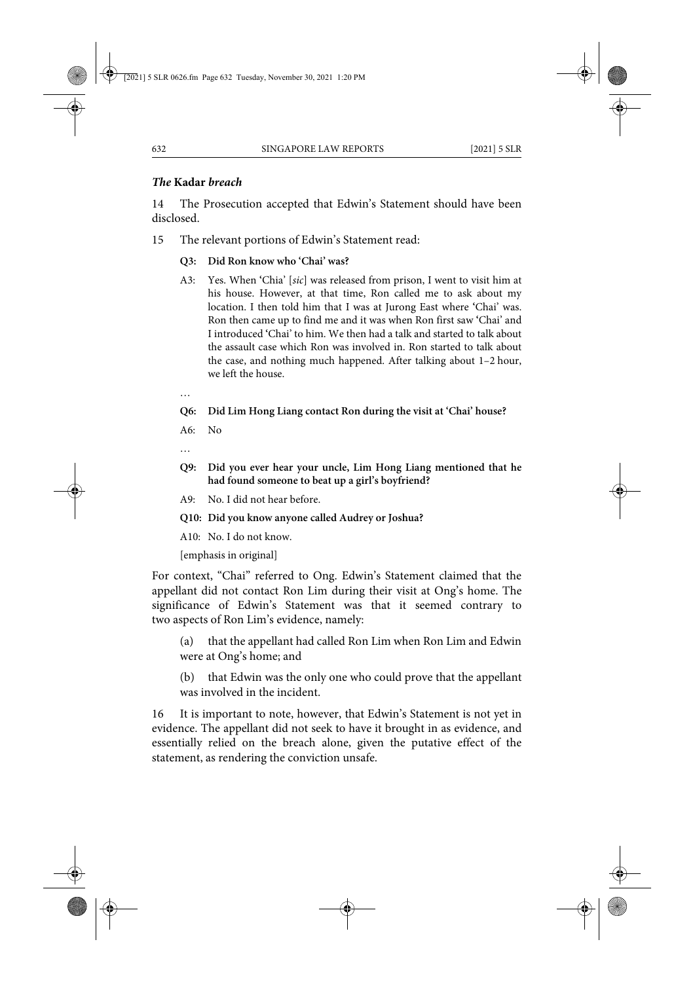# *The* **Kadar** *breach*

14 The Prosecution accepted that Edwin's Statement should have been disclosed.

15 The relevant portions of Edwin's Statement read:

# **Q3: Did Ron know who 'Chai' was?**

A3: Yes. When **'**Chia' [*sic*] was released from prison, I went to visit him at his house. However, at that time, Ron called me to ask about my location. I then told him that I was at Jurong East where **'**Chai' was. Ron then came up to find me and it was when Ron first saw **'**Chai' and I introduced **'**Chai' to him. We then had a talk and started to talk about the assault case which Ron was involved in. Ron started to talk about the case, and nothing much happened. After talking about 1–2 hour, we left the house.

…

# **Q6: Did Lim Hong Liang contact Ron during the visit at 'Chai' house?**

A6: No

- **Q9: Did you ever hear your uncle, Lim Hong Liang mentioned that he had found someone to beat up a girl's boyfriend?**
- A9: No. I did not hear before.
- **Q10: Did you know anyone called Audrey or Joshua?**

A10: No. I do not know.

[emphasis in original]

For context, "Chai" referred to Ong. Edwin's Statement claimed that the appellant did not contact Ron Lim during their visit at Ong's home. The significance of Edwin's Statement was that it seemed contrary to two aspects of Ron Lim's evidence, namely:

(a) that the appellant had called Ron Lim when Ron Lim and Edwin were at Ong's home; and

(b) that Edwin was the only one who could prove that the appellant was involved in the incident.

16 It is important to note, however, that Edwin's Statement is not yet in evidence. The appellant did not seek to have it brought in as evidence, and essentially relied on the breach alone, given the putative effect of the statement, as rendering the conviction unsafe.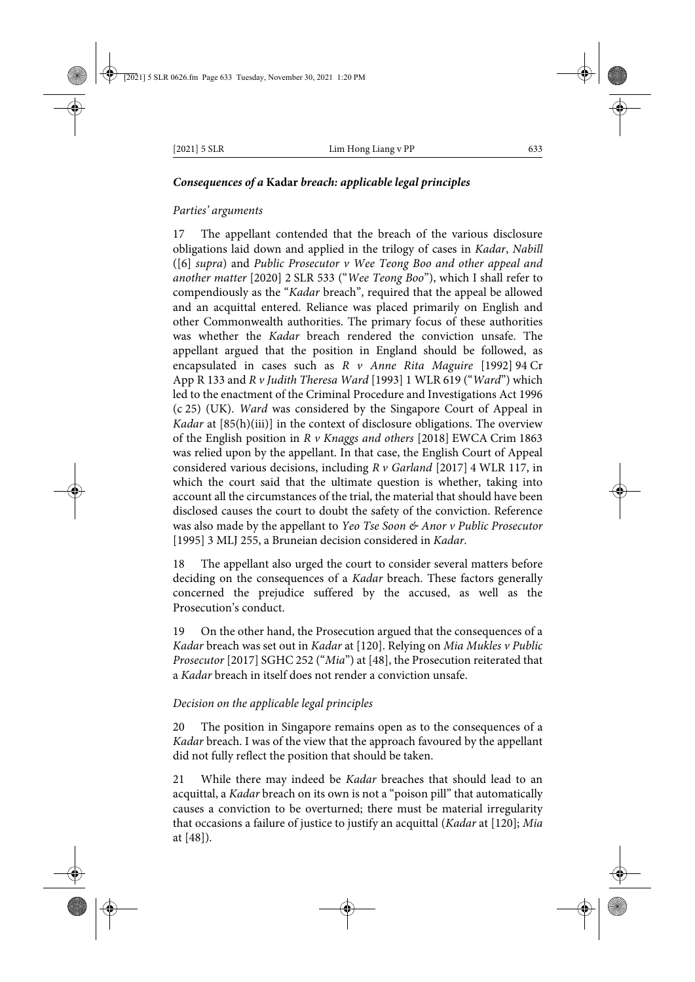# *Consequences of a* **Kadar** *breach: applicable legal principles*

### *Parties' arguments*

17 The appellant contended that the breach of the various disclosure obligations laid down and applied in the trilogy of cases in *Kadar*, *Nabill* ([6] *supra*) and *Public Prosecutor v Wee Teong Boo and other appeal and another matter* [2020] 2 SLR 533 ("*Wee Teong Boo*"), which I shall refer to compendiously as the "*Kadar* breach", required that the appeal be allowed and an acquittal entered. Reliance was placed primarily on English and other Commonwealth authorities. The primary focus of these authorities was whether the *Kadar* breach rendered the conviction unsafe. The appellant argued that the position in England should be followed, as encapsulated in cases such as *R v Anne Rita Maguire* [1992] 94 Cr App R 133 and *R v Judith Theresa Ward* [1993] 1 WLR 619 ("*Ward*") which led to the enactment of the Criminal Procedure and Investigations Act 1996 (c 25) (UK). *Ward* was considered by the Singapore Court of Appeal in *Kadar* at [85(h)(iii)] in the context of disclosure obligations. The overview of the English position in *R v Knaggs and others* [2018] EWCA Crim 1863 was relied upon by the appellant. In that case, the English Court of Appeal considered various decisions, including *R v Garland* [2017] 4 WLR 117, in which the court said that the ultimate question is whether, taking into account all the circumstances of the trial, the material that should have been disclosed causes the court to doubt the safety of the conviction. Reference was also made by the appellant to *Yeo Tse Soon & Anor v Public Prosecutor* [1995] 3 MLJ 255, a Bruneian decision considered in *Kadar*.

18 The appellant also urged the court to consider several matters before deciding on the consequences of a *Kadar* breach. These factors generally concerned the prejudice suffered by the accused, as well as the Prosecution's conduct.

19 On the other hand, the Prosecution argued that the consequences of a *Kadar* breach was set out in *Kadar* at [120]. Relying on *Mia Mukles v Public Prosecutor* [2017] SGHC 252 ("*Mia*") at [48], the Prosecution reiterated that a *Kadar* breach in itself does not render a conviction unsafe.

# *Decision on the applicable legal principles*

20 The position in Singapore remains open as to the consequences of a *Kadar* breach. I was of the view that the approach favoured by the appellant did not fully reflect the position that should be taken.

21 While there may indeed be *Kadar* breaches that should lead to an acquittal, a *Kadar* breach on its own is not a "poison pill" that automatically causes a conviction to be overturned; there must be material irregularity that occasions a failure of justice to justify an acquittal (*Kadar* at [120]; *Mia* at [48]).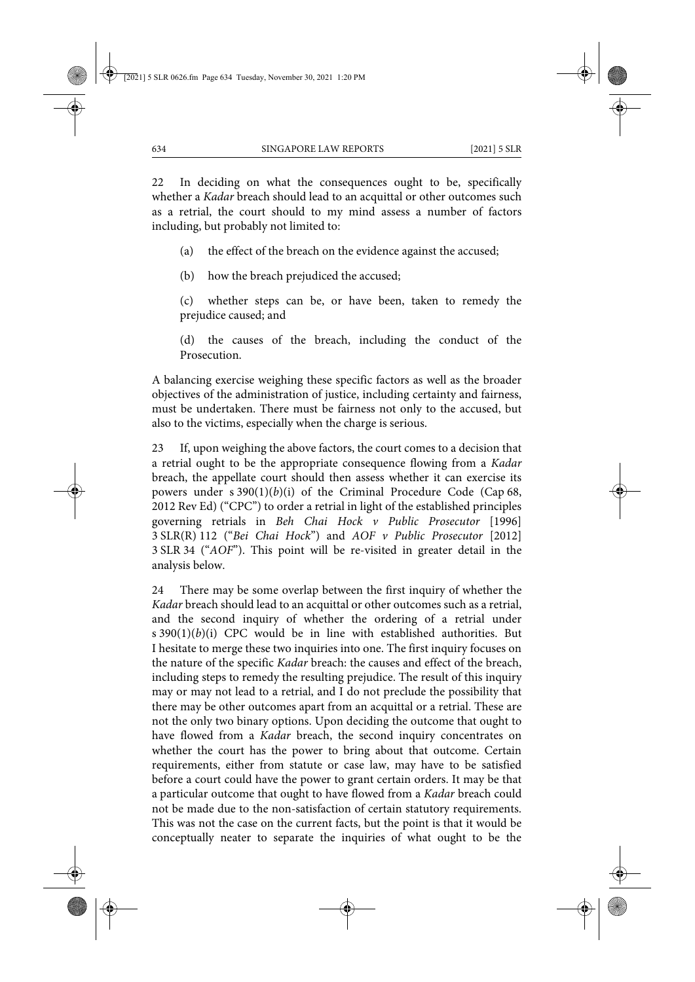22 In deciding on what the consequences ought to be, specifically whether a *Kadar* breach should lead to an acquittal or other outcomes such as a retrial, the court should to my mind assess a number of factors including, but probably not limited to:

(a) the effect of the breach on the evidence against the accused;

(b) how the breach prejudiced the accused;

(c) whether steps can be, or have been, taken to remedy the prejudice caused; and

(d) the causes of the breach, including the conduct of the Prosecution.

A balancing exercise weighing these specific factors as well as the broader objectives of the administration of justice, including certainty and fairness, must be undertaken. There must be fairness not only to the accused, but also to the victims, especially when the charge is serious.

23 If, upon weighing the above factors, the court comes to a decision that a retrial ought to be the appropriate consequence flowing from a *Kadar* breach, the appellate court should then assess whether it can exercise its powers under s 390(1)(*b*)(i) of the Criminal Procedure Code (Cap 68, 2012 Rev Ed) ("CPC") to order a retrial in light of the established principles governing retrials in *Beh Chai Hock v Public Prosecutor* [1996] 3 SLR(R) 112 ("*Bei Chai Hock*") and *AOF v Public Prosecutor* [2012] 3 SLR 34 ("*AOF*"). This point will be re-visited in greater detail in the analysis below.

24 There may be some overlap between the first inquiry of whether the *Kadar* breach should lead to an acquittal or other outcomes such as a retrial, and the second inquiry of whether the ordering of a retrial under s  $390(1)(b)(i)$  CPC would be in line with established authorities. But I hesitate to merge these two inquiries into one. The first inquiry focuses on the nature of the specific *Kadar* breach: the causes and effect of the breach, including steps to remedy the resulting prejudice. The result of this inquiry may or may not lead to a retrial, and I do not preclude the possibility that there may be other outcomes apart from an acquittal or a retrial. These are not the only two binary options. Upon deciding the outcome that ought to have flowed from a *Kadar* breach, the second inquiry concentrates on whether the court has the power to bring about that outcome. Certain requirements, either from statute or case law, may have to be satisfied before a court could have the power to grant certain orders. It may be that a particular outcome that ought to have flowed from a *Kadar* breach could not be made due to the non-satisfaction of certain statutory requirements. This was not the case on the current facts, but the point is that it would be conceptually neater to separate the inquiries of what ought to be the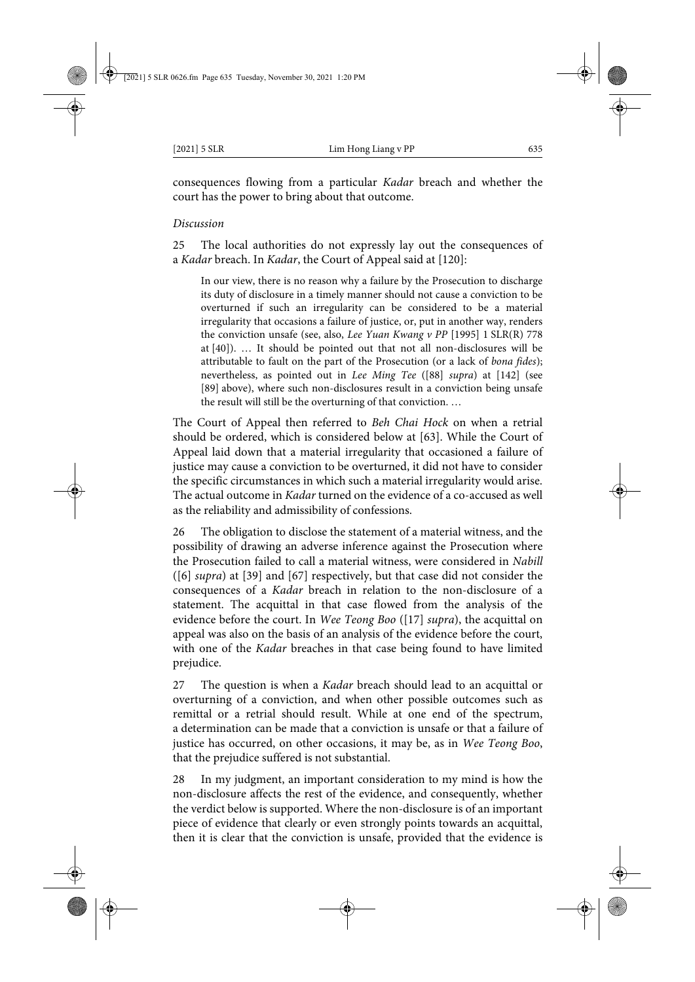consequences flowing from a particular *Kadar* breach and whether the court has the power to bring about that outcome.

#### *Discussion*

25 The local authorities do not expressly lay out the consequences of a *Kadar* breach. In *Kadar*, the Court of Appeal said at [120]:

In our view, there is no reason why a failure by the Prosecution to discharge its duty of disclosure in a timely manner should not cause a conviction to be overturned if such an irregularity can be considered to be a material irregularity that occasions a failure of justice, or, put in another way, renders the conviction unsafe (see, also, *Lee Yuan Kwang v PP* [1995] 1 SLR(R) 778 at [40]). … It should be pointed out that not all non-disclosures will be attributable to fault on the part of the Prosecution (or a lack of *bona fides*); nevertheless, as pointed out in *Lee Ming Tee* ([88] *supra*) at [142] (see [89] above), where such non-disclosures result in a conviction being unsafe the result will still be the overturning of that conviction. …

The Court of Appeal then referred to *Beh Chai Hock* on when a retrial should be ordered, which is considered below at [63]. While the Court of Appeal laid down that a material irregularity that occasioned a failure of justice may cause a conviction to be overturned, it did not have to consider the specific circumstances in which such a material irregularity would arise. The actual outcome in *Kadar* turned on the evidence of a co-accused as well as the reliability and admissibility of confessions.

26 The obligation to disclose the statement of a material witness, and the possibility of drawing an adverse inference against the Prosecution where the Prosecution failed to call a material witness, were considered in *Nabill* ([6] *supra*) at [39] and [67] respectively, but that case did not consider the consequences of a *Kadar* breach in relation to the non-disclosure of a statement. The acquittal in that case flowed from the analysis of the evidence before the court. In *Wee Teong Boo* ([17] *supra*), the acquittal on appeal was also on the basis of an analysis of the evidence before the court, with one of the *Kadar* breaches in that case being found to have limited prejudice.

27 The question is when a *Kadar* breach should lead to an acquittal or overturning of a conviction, and when other possible outcomes such as remittal or a retrial should result. While at one end of the spectrum, a determination can be made that a conviction is unsafe or that a failure of justice has occurred, on other occasions, it may be, as in *Wee Teong Boo*, that the prejudice suffered is not substantial.

28 In my judgment, an important consideration to my mind is how the non-disclosure affects the rest of the evidence, and consequently, whether the verdict below is supported. Where the non-disclosure is of an important piece of evidence that clearly or even strongly points towards an acquittal, then it is clear that the conviction is unsafe, provided that the evidence is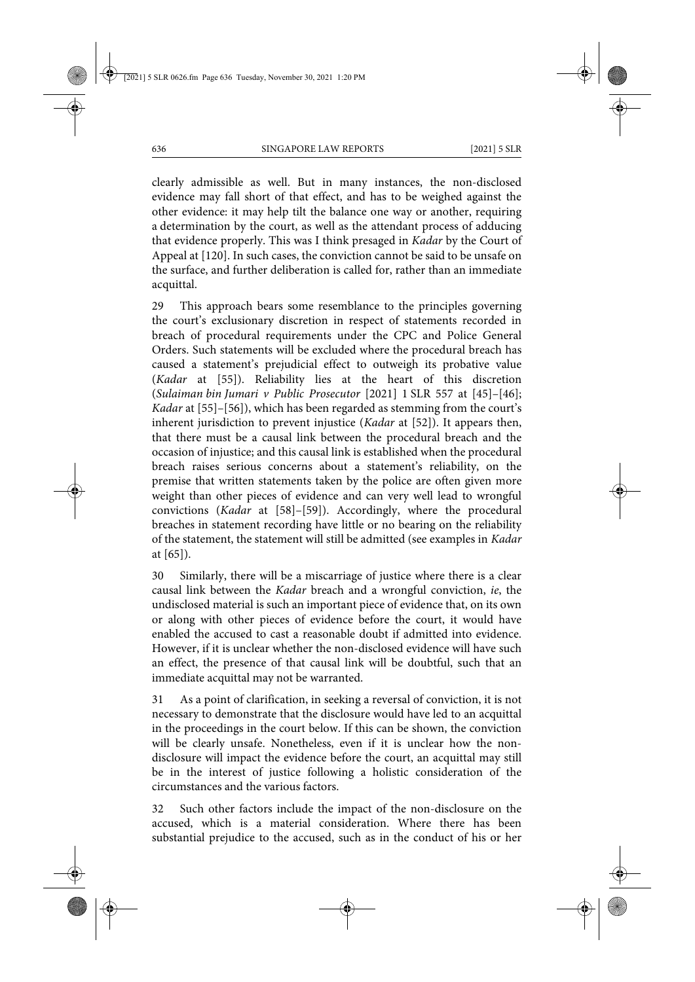clearly admissible as well. But in many instances, the non-disclosed evidence may fall short of that effect, and has to be weighed against the other evidence: it may help tilt the balance one way or another, requiring a determination by the court, as well as the attendant process of adducing that evidence properly. This was I think presaged in *Kadar* by the Court of Appeal at [120]. In such cases, the conviction cannot be said to be unsafe on the surface, and further deliberation is called for, rather than an immediate acquittal.

29 This approach bears some resemblance to the principles governing the court's exclusionary discretion in respect of statements recorded in breach of procedural requirements under the CPC and Police General Orders. Such statements will be excluded where the procedural breach has caused a statement's prejudicial effect to outweigh its probative value (*Kadar* at [55]). Reliability lies at the heart of this discretion (*Sulaiman bin Jumari v Public Prosecutor* [2021] 1 SLR 557 at [45]–[46]; *Kadar* at [55]–[56]), which has been regarded as stemming from the court's inherent jurisdiction to prevent injustice (*Kadar* at [52]). It appears then, that there must be a causal link between the procedural breach and the occasion of injustice; and this causal link is established when the procedural breach raises serious concerns about a statement's reliability, on the premise that written statements taken by the police are often given more weight than other pieces of evidence and can very well lead to wrongful convictions (*Kadar* at [58]–[59]). Accordingly, where the procedural breaches in statement recording have little or no bearing on the reliability of the statement, the statement will still be admitted (see examples in *Kadar* at [65]).

30 Similarly, there will be a miscarriage of justice where there is a clear causal link between the *Kadar* breach and a wrongful conviction, *ie*, the undisclosed material is such an important piece of evidence that, on its own or along with other pieces of evidence before the court, it would have enabled the accused to cast a reasonable doubt if admitted into evidence. However, if it is unclear whether the non-disclosed evidence will have such an effect, the presence of that causal link will be doubtful, such that an immediate acquittal may not be warranted.

31 As a point of clarification, in seeking a reversal of conviction, it is not necessary to demonstrate that the disclosure would have led to an acquittal in the proceedings in the court below. If this can be shown, the conviction will be clearly unsafe. Nonetheless, even if it is unclear how the nondisclosure will impact the evidence before the court, an acquittal may still be in the interest of justice following a holistic consideration of the circumstances and the various factors.

32 Such other factors include the impact of the non-disclosure on the accused, which is a material consideration. Where there has been substantial prejudice to the accused, such as in the conduct of his or her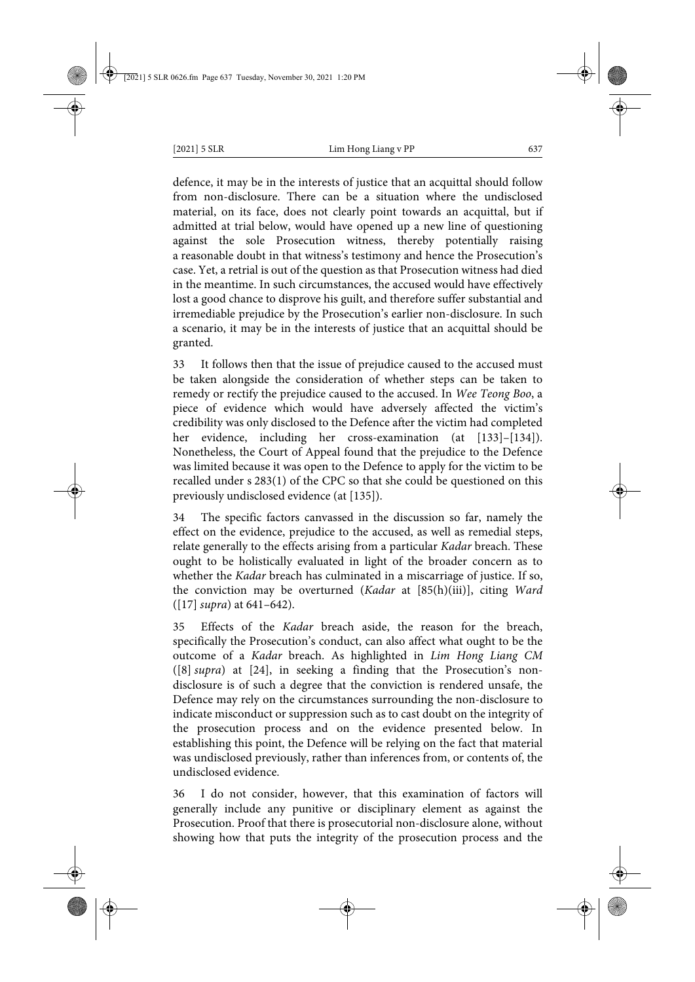defence, it may be in the interests of justice that an acquittal should follow from non-disclosure. There can be a situation where the undisclosed material, on its face, does not clearly point towards an acquittal, but if admitted at trial below, would have opened up a new line of questioning against the sole Prosecution witness, thereby potentially raising a reasonable doubt in that witness's testimony and hence the Prosecution's case. Yet, a retrial is out of the question as that Prosecution witness had died in the meantime. In such circumstances, the accused would have effectively lost a good chance to disprove his guilt, and therefore suffer substantial and irremediable prejudice by the Prosecution's earlier non-disclosure. In such a scenario, it may be in the interests of justice that an acquittal should be granted.

33 It follows then that the issue of prejudice caused to the accused must be taken alongside the consideration of whether steps can be taken to remedy or rectify the prejudice caused to the accused. In *Wee Teong Boo*, a piece of evidence which would have adversely affected the victim's credibility was only disclosed to the Defence after the victim had completed her evidence, including her cross-examination (at [133]–[134]). Nonetheless, the Court of Appeal found that the prejudice to the Defence was limited because it was open to the Defence to apply for the victim to be recalled under s 283(1) of the CPC so that she could be questioned on this previously undisclosed evidence (at [135]).

34 The specific factors canvassed in the discussion so far, namely the effect on the evidence, prejudice to the accused, as well as remedial steps, relate generally to the effects arising from a particular *Kadar* breach. These ought to be holistically evaluated in light of the broader concern as to whether the *Kadar* breach has culminated in a miscarriage of justice. If so, the conviction may be overturned (*Kadar* at [85(h)(iii)], citing *Ward* ([17] *supra*) at 641–642).

35 Effects of the *Kadar* breach aside, the reason for the breach, specifically the Prosecution's conduct, can also affect what ought to be the outcome of a *Kadar* breach. As highlighted in *Lim Hong Liang CM* ([8] *supra*) at [24], in seeking a finding that the Prosecution's nondisclosure is of such a degree that the conviction is rendered unsafe, the Defence may rely on the circumstances surrounding the non-disclosure to indicate misconduct or suppression such as to cast doubt on the integrity of the prosecution process and on the evidence presented below. In establishing this point, the Defence will be relying on the fact that material was undisclosed previously, rather than inferences from, or contents of, the undisclosed evidence.

36 I do not consider, however, that this examination of factors will generally include any punitive or disciplinary element as against the Prosecution. Proof that there is prosecutorial non-disclosure alone, without showing how that puts the integrity of the prosecution process and the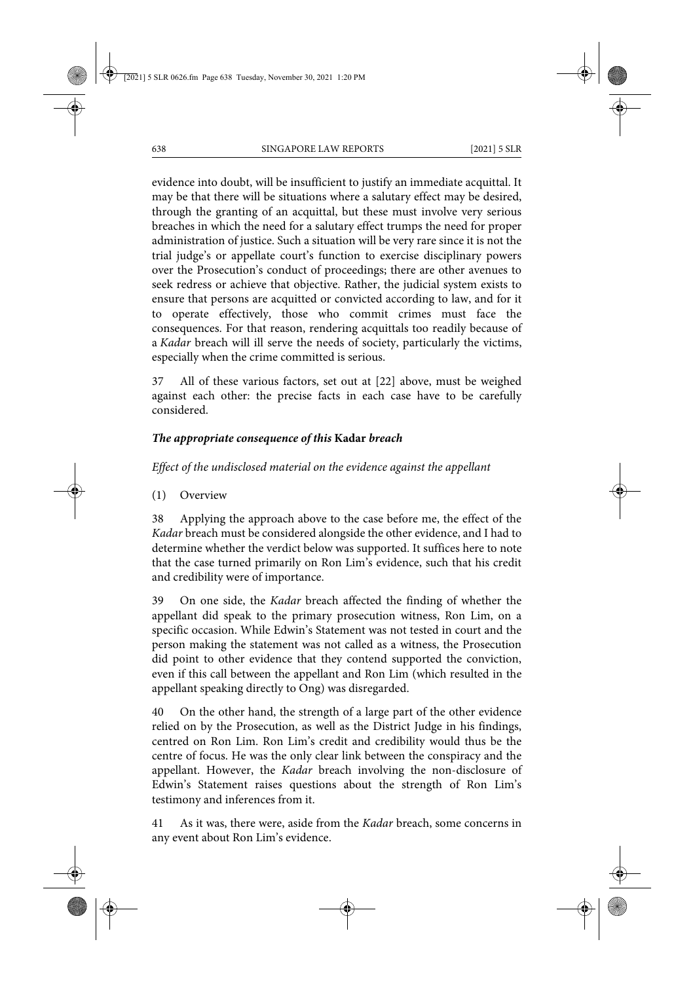evidence into doubt, will be insufficient to justify an immediate acquittal. It may be that there will be situations where a salutary effect may be desired, through the granting of an acquittal, but these must involve very serious breaches in which the need for a salutary effect trumps the need for proper administration of justice. Such a situation will be very rare since it is not the trial judge's or appellate court's function to exercise disciplinary powers over the Prosecution's conduct of proceedings; there are other avenues to seek redress or achieve that objective. Rather, the judicial system exists to ensure that persons are acquitted or convicted according to law, and for it to operate effectively, those who commit crimes must face the consequences. For that reason, rendering acquittals too readily because of a *Kadar* breach will ill serve the needs of society, particularly the victims, especially when the crime committed is serious.

37 All of these various factors, set out at [22] above, must be weighed against each other: the precise facts in each case have to be carefully considered.

# *The appropriate consequence of this* **Kadar** *breach*

# *Effect of the undisclosed material on the evidence against the appellant*

(1) Overview

38 Applying the approach above to the case before me, the effect of the *Kadar* breach must be considered alongside the other evidence, and I had to determine whether the verdict below was supported. It suffices here to note that the case turned primarily on Ron Lim's evidence, such that his credit and credibility were of importance.

39 On one side, the *Kadar* breach affected the finding of whether the appellant did speak to the primary prosecution witness, Ron Lim, on a specific occasion. While Edwin's Statement was not tested in court and the person making the statement was not called as a witness, the Prosecution did point to other evidence that they contend supported the conviction, even if this call between the appellant and Ron Lim (which resulted in the appellant speaking directly to Ong) was disregarded.

40 On the other hand, the strength of a large part of the other evidence relied on by the Prosecution, as well as the District Judge in his findings, centred on Ron Lim. Ron Lim's credit and credibility would thus be the centre of focus. He was the only clear link between the conspiracy and the appellant. However, the *Kadar* breach involving the non-disclosure of Edwin's Statement raises questions about the strength of Ron Lim's testimony and inferences from it.

41 As it was, there were, aside from the *Kadar* breach, some concerns in any event about Ron Lim's evidence.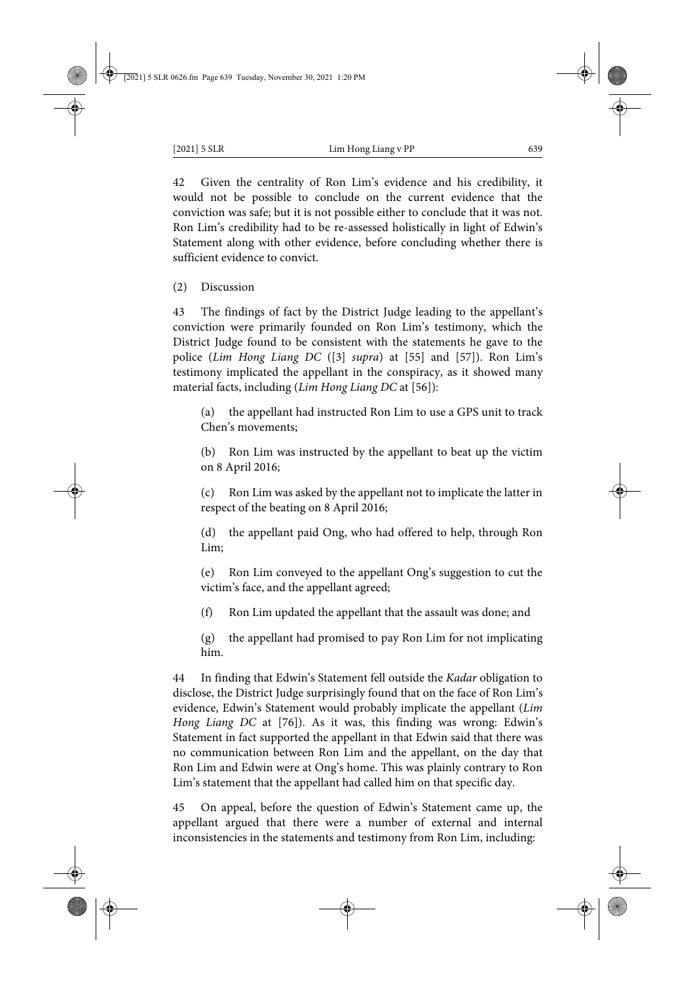42 Given the centrality of Ron Lim's evidence and his credibility, it would not be possible to conclude on the current evidence that the conviction was safe; but it is not possible either to conclude that it was not. Ron Lim's credibility had to be re-assessed holistically in light of Edwin's Statement along with other evidence, before concluding whether there is sufficient evidence to convict.

(2) Discussion

43 The findings of fact by the District Judge leading to the appellant's conviction were primarily founded on Ron Lim's testimony, which the District Judge found to be consistent with the statements he gave to the police (*Lim Hong Liang DC* ([3] *supra*) at [55] and [57]). Ron Lim's testimony implicated the appellant in the conspiracy, as it showed many material facts, including (*Lim Hong Liang DC* at [56]):

(a) the appellant had instructed Ron Lim to use a GPS unit to track Chen's movements;

(b) Ron Lim was instructed by the appellant to beat up the victim on 8 April 2016;

(c) Ron Lim was asked by the appellant not to implicate the latter in respect of the beating on 8 April 2016;

(d) the appellant paid Ong, who had offered to help, through Ron Lim;

(e) Ron Lim conveyed to the appellant Ong's suggestion to cut the victim's face, and the appellant agreed;

(f) Ron Lim updated the appellant that the assault was done; and

(g) the appellant had promised to pay Ron Lim for not implicating him.

44 In finding that Edwin's Statement fell outside the *Kadar* obligation to disclose, the District Judge surprisingly found that on the face of Ron Lim's evidence, Edwin's Statement would probably implicate the appellant (*Lim Hong Liang DC* at [76]). As it was, this finding was wrong: Edwin's Statement in fact supported the appellant in that Edwin said that there was no communication between Ron Lim and the appellant, on the day that Ron Lim and Edwin were at Ong's home. This was plainly contrary to Ron Lim's statement that the appellant had called him on that specific day.

45 On appeal, before the question of Edwin's Statement came up, the appellant argued that there were a number of external and internal inconsistencies in the statements and testimony from Ron Lim, including: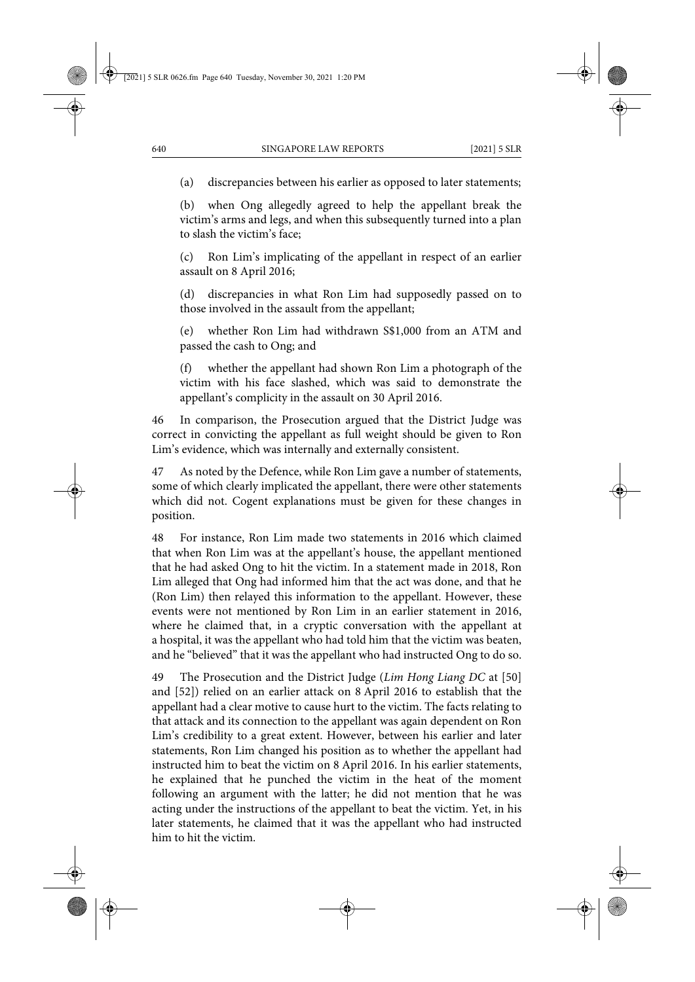(a) discrepancies between his earlier as opposed to later statements;

(b) when Ong allegedly agreed to help the appellant break the victim's arms and legs, and when this subsequently turned into a plan to slash the victim's face;

(c) Ron Lim's implicating of the appellant in respect of an earlier assault on 8 April 2016;

(d) discrepancies in what Ron Lim had supposedly passed on to those involved in the assault from the appellant;

(e) whether Ron Lim had withdrawn S\$1,000 from an ATM and passed the cash to Ong; and

(f) whether the appellant had shown Ron Lim a photograph of the victim with his face slashed, which was said to demonstrate the appellant's complicity in the assault on 30 April 2016.

46 In comparison, the Prosecution argued that the District Judge was correct in convicting the appellant as full weight should be given to Ron Lim's evidence, which was internally and externally consistent.

47 As noted by the Defence, while Ron Lim gave a number of statements, some of which clearly implicated the appellant, there were other statements which did not. Cogent explanations must be given for these changes in position.

48 For instance, Ron Lim made two statements in 2016 which claimed that when Ron Lim was at the appellant's house, the appellant mentioned that he had asked Ong to hit the victim. In a statement made in 2018, Ron Lim alleged that Ong had informed him that the act was done, and that he (Ron Lim) then relayed this information to the appellant. However, these events were not mentioned by Ron Lim in an earlier statement in 2016, where he claimed that, in a cryptic conversation with the appellant at a hospital, it was the appellant who had told him that the victim was beaten, and he "believed" that it was the appellant who had instructed Ong to do so.

49 The Prosecution and the District Judge (*Lim Hong Liang DC* at [50] and [52]) relied on an earlier attack on 8 April 2016 to establish that the appellant had a clear motive to cause hurt to the victim. The facts relating to that attack and its connection to the appellant was again dependent on Ron Lim's credibility to a great extent. However, between his earlier and later statements, Ron Lim changed his position as to whether the appellant had instructed him to beat the victim on 8 April 2016. In his earlier statements, he explained that he punched the victim in the heat of the moment following an argument with the latter; he did not mention that he was acting under the instructions of the appellant to beat the victim. Yet, in his later statements, he claimed that it was the appellant who had instructed him to hit the victim.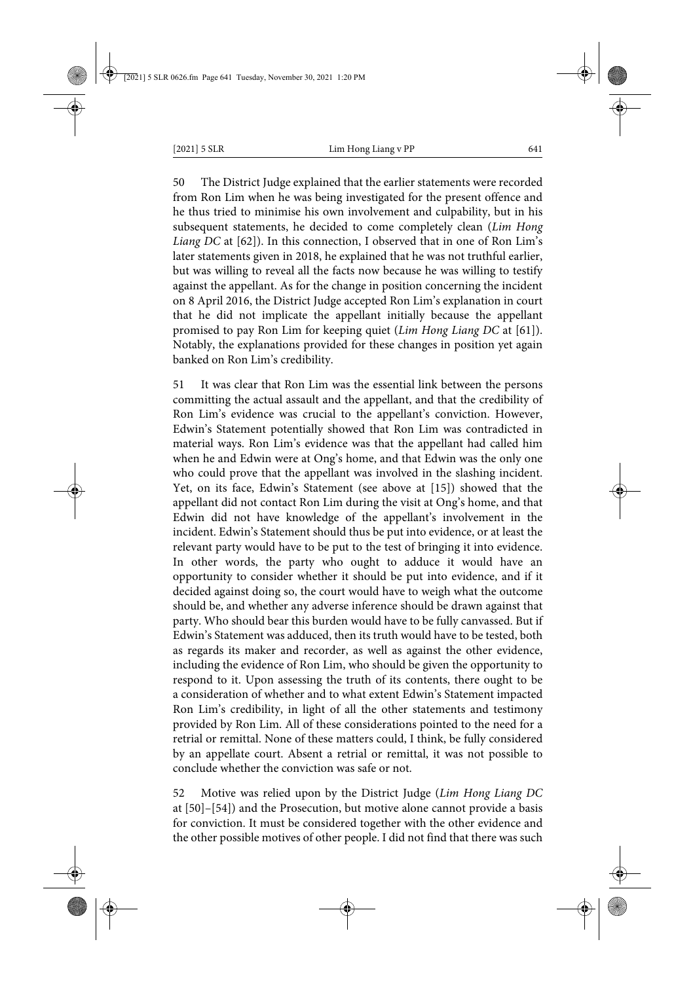50 The District Judge explained that the earlier statements were recorded from Ron Lim when he was being investigated for the present offence and he thus tried to minimise his own involvement and culpability, but in his subsequent statements, he decided to come completely clean (*Lim Hong Liang DC* at [62]). In this connection, I observed that in one of Ron Lim's later statements given in 2018, he explained that he was not truthful earlier, but was willing to reveal all the facts now because he was willing to testify against the appellant. As for the change in position concerning the incident on 8 April 2016, the District Judge accepted Ron Lim's explanation in court that he did not implicate the appellant initially because the appellant promised to pay Ron Lim for keeping quiet (*Lim Hong Liang DC* at [61]). Notably, the explanations provided for these changes in position yet again banked on Ron Lim's credibility.

51 It was clear that Ron Lim was the essential link between the persons committing the actual assault and the appellant, and that the credibility of Ron Lim's evidence was crucial to the appellant's conviction. However, Edwin's Statement potentially showed that Ron Lim was contradicted in material ways. Ron Lim's evidence was that the appellant had called him when he and Edwin were at Ong's home, and that Edwin was the only one who could prove that the appellant was involved in the slashing incident. Yet, on its face, Edwin's Statement (see above at [15]) showed that the appellant did not contact Ron Lim during the visit at Ong's home, and that Edwin did not have knowledge of the appellant's involvement in the incident. Edwin's Statement should thus be put into evidence, or at least the relevant party would have to be put to the test of bringing it into evidence. In other words, the party who ought to adduce it would have an opportunity to consider whether it should be put into evidence, and if it decided against doing so, the court would have to weigh what the outcome should be, and whether any adverse inference should be drawn against that party. Who should bear this burden would have to be fully canvassed. But if Edwin's Statement was adduced, then its truth would have to be tested, both as regards its maker and recorder, as well as against the other evidence, including the evidence of Ron Lim, who should be given the opportunity to respond to it. Upon assessing the truth of its contents, there ought to be a consideration of whether and to what extent Edwin's Statement impacted Ron Lim's credibility, in light of all the other statements and testimony provided by Ron Lim. All of these considerations pointed to the need for a retrial or remittal. None of these matters could, I think, be fully considered by an appellate court. Absent a retrial or remittal, it was not possible to conclude whether the conviction was safe or not.

52 Motive was relied upon by the District Judge (*Lim Hong Liang DC* at [50]–[54]) and the Prosecution, but motive alone cannot provide a basis for conviction. It must be considered together with the other evidence and the other possible motives of other people. I did not find that there was such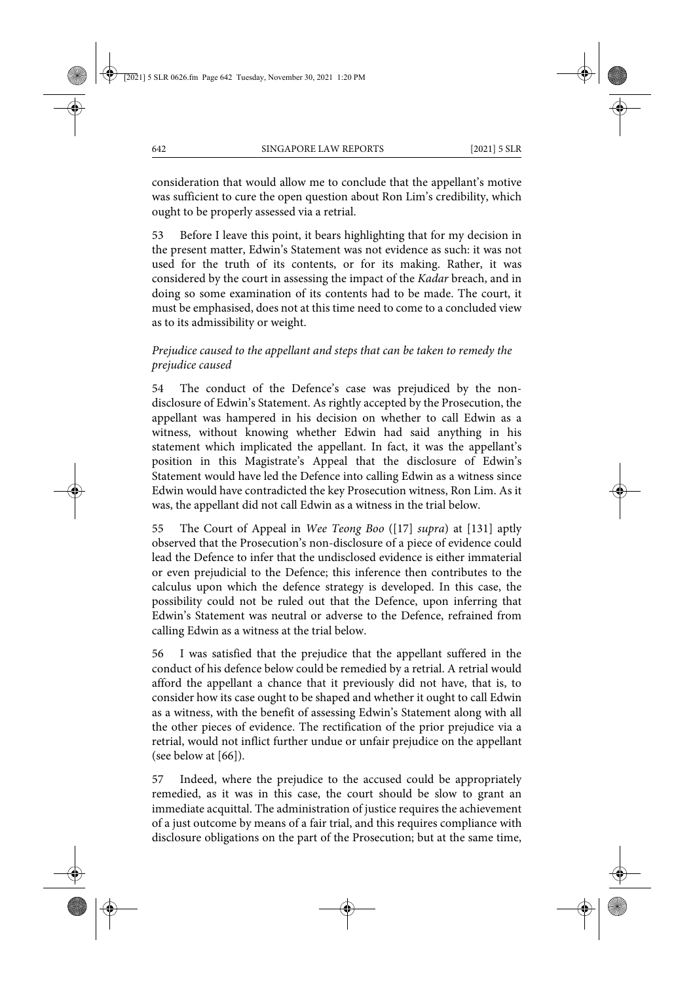consideration that would allow me to conclude that the appellant's motive was sufficient to cure the open question about Ron Lim's credibility, which ought to be properly assessed via a retrial.

53 Before I leave this point, it bears highlighting that for my decision in the present matter, Edwin's Statement was not evidence as such: it was not used for the truth of its contents, or for its making. Rather, it was considered by the court in assessing the impact of the *Kadar* breach, and in doing so some examination of its contents had to be made. The court, it must be emphasised, does not at this time need to come to a concluded view as to its admissibility or weight.

# *Prejudice caused to the appellant and steps that can be taken to remedy the prejudice caused*

54 The conduct of the Defence's case was prejudiced by the nondisclosure of Edwin's Statement. As rightly accepted by the Prosecution, the appellant was hampered in his decision on whether to call Edwin as a witness, without knowing whether Edwin had said anything in his statement which implicated the appellant. In fact, it was the appellant's position in this Magistrate's Appeal that the disclosure of Edwin's Statement would have led the Defence into calling Edwin as a witness since Edwin would have contradicted the key Prosecution witness, Ron Lim. As it was, the appellant did not call Edwin as a witness in the trial below.

55 The Court of Appeal in *Wee Teong Boo* ([17] *supra*) at [131] aptly observed that the Prosecution's non-disclosure of a piece of evidence could lead the Defence to infer that the undisclosed evidence is either immaterial or even prejudicial to the Defence; this inference then contributes to the calculus upon which the defence strategy is developed. In this case, the possibility could not be ruled out that the Defence, upon inferring that Edwin's Statement was neutral or adverse to the Defence, refrained from calling Edwin as a witness at the trial below.

56 I was satisfied that the prejudice that the appellant suffered in the conduct of his defence below could be remedied by a retrial. A retrial would afford the appellant a chance that it previously did not have, that is, to consider how its case ought to be shaped and whether it ought to call Edwin as a witness, with the benefit of assessing Edwin's Statement along with all the other pieces of evidence. The rectification of the prior prejudice via a retrial, would not inflict further undue or unfair prejudice on the appellant (see below at [66]).

57 Indeed, where the prejudice to the accused could be appropriately remedied, as it was in this case, the court should be slow to grant an immediate acquittal. The administration of justice requires the achievement of a just outcome by means of a fair trial, and this requires compliance with disclosure obligations on the part of the Prosecution; but at the same time,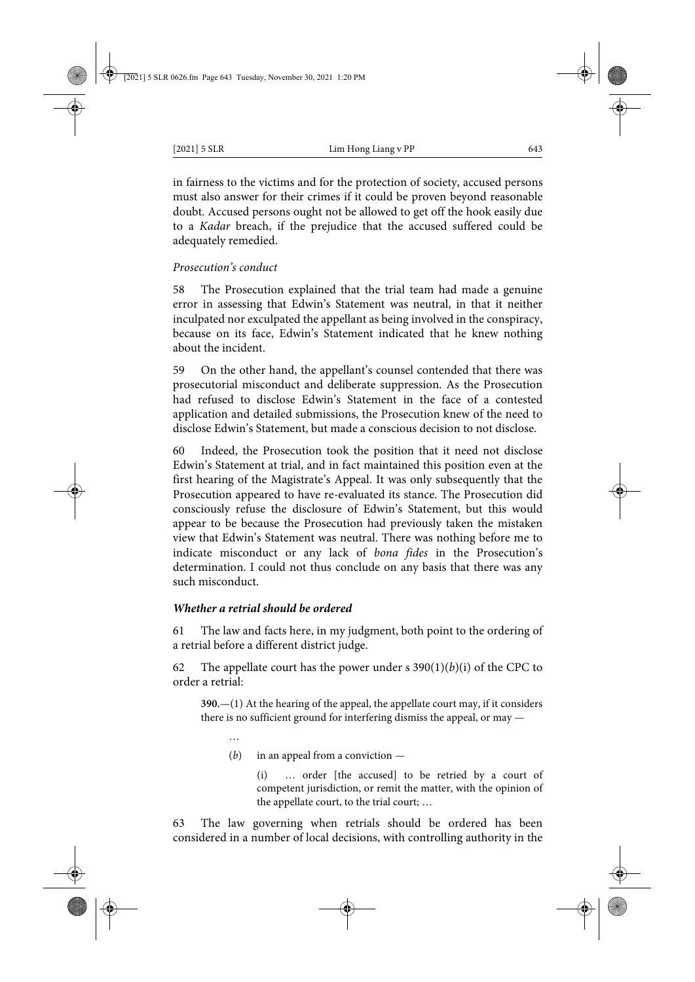in fairness to the victims and for the protection of society, accused persons must also answer for their crimes if it could be proven beyond reasonable doubt. Accused persons ought not be allowed to get off the hook easily due to a *Kadar* breach, if the prejudice that the accused suffered could be adequately remedied.

### *Prosecution's conduct*

58 The Prosecution explained that the trial team had made a genuine error in assessing that Edwin's Statement was neutral, in that it neither inculpated nor exculpated the appellant as being involved in the conspiracy, because on its face, Edwin's Statement indicated that he knew nothing about the incident.

59 On the other hand, the appellant's counsel contended that there was prosecutorial misconduct and deliberate suppression. As the Prosecution had refused to disclose Edwin's Statement in the face of a contested application and detailed submissions, the Prosecution knew of the need to disclose Edwin's Statement, but made a conscious decision to not disclose.

60 Indeed, the Prosecution took the position that it need not disclose Edwin's Statement at trial, and in fact maintained this position even at the first hearing of the Magistrate's Appeal. It was only subsequently that the Prosecution appeared to have re-evaluated its stance. The Prosecution did consciously refuse the disclosure of Edwin's Statement, but this would appear to be because the Prosecution had previously taken the mistaken view that Edwin's Statement was neutral. There was nothing before me to indicate misconduct or any lack of *bona fides* in the Prosecution's determination. I could not thus conclude on any basis that there was any such misconduct.

#### *Whether a retrial should be ordered*

61 The law and facts here, in my judgment, both point to the ordering of a retrial before a different district judge.

62 The appellate court has the power under s  $390(1)(b)(i)$  of the CPC to order a retrial:

**390.**—(1) At the hearing of the appeal, the appellate court may, if it considers there is no sufficient ground for interfering dismiss the appeal, or may —

- …
- (*b*) in an appeal from a conviction —

(i) … order [the accused] to be retried by a court of competent jurisdiction, or remit the matter, with the opinion of the appellate court, to the trial court; …

63 The law governing when retrials should be ordered has been considered in a number of local decisions, with controlling authority in the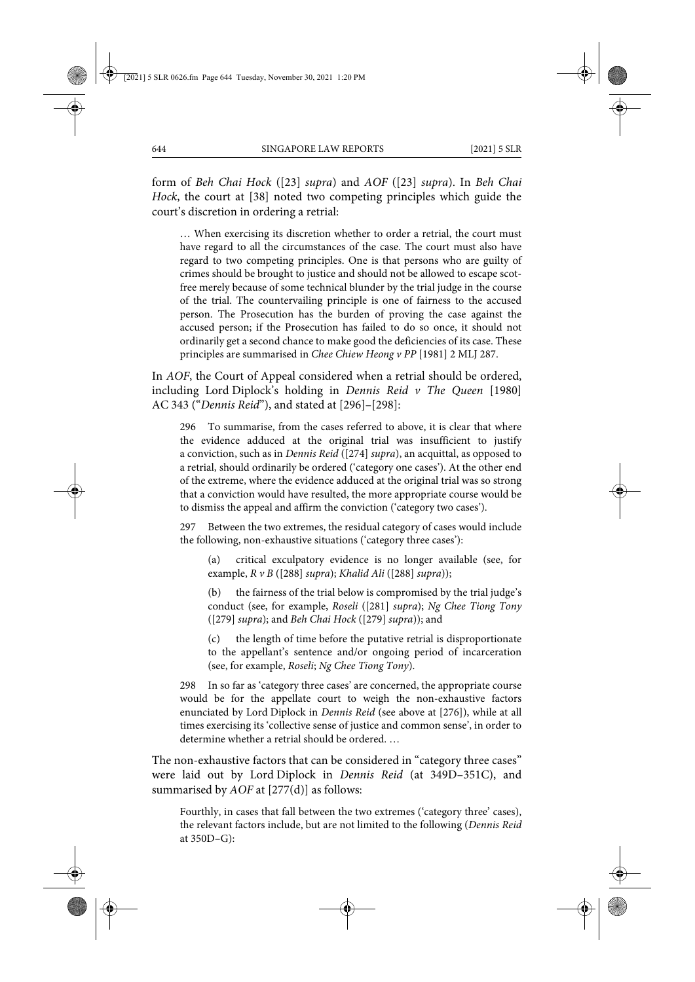form of *Beh Chai Hock* ([23] *supra*) and *AOF* ([23] *supra*). In *Beh Chai Hock*, the court at [38] noted two competing principles which guide the court's discretion in ordering a retrial:

… When exercising its discretion whether to order a retrial, the court must have regard to all the circumstances of the case. The court must also have regard to two competing principles. One is that persons who are guilty of crimes should be brought to justice and should not be allowed to escape scotfree merely because of some technical blunder by the trial judge in the course of the trial. The countervailing principle is one of fairness to the accused person. The Prosecution has the burden of proving the case against the accused person; if the Prosecution has failed to do so once, it should not ordinarily get a second chance to make good the deficiencies of its case. These principles are summarised in *Chee Chiew Heong v PP* [1981] 2 MLJ 287.

In *AOF*, the Court of Appeal considered when a retrial should be ordered, including Lord Diplock's holding in *Dennis Reid v The Queen* [1980] AC 343 ("*Dennis Reid*"), and stated at [296]–[298]:

296 To summarise, from the cases referred to above, it is clear that where the evidence adduced at the original trial was insufficient to justify a conviction, such as in *Dennis Reid* ([274] *supra*), an acquittal, as opposed to a retrial, should ordinarily be ordered ('category one cases'). At the other end of the extreme, where the evidence adduced at the original trial was so strong that a conviction would have resulted, the more appropriate course would be to dismiss the appeal and affirm the conviction ('category two cases').

297 Between the two extremes, the residual category of cases would include the following, non-exhaustive situations ('category three cases'):

(a) critical exculpatory evidence is no longer available (see, for example, *R v B* ([288] *supra*); *Khalid Ali* ([288] *supra*));

(b) the fairness of the trial below is compromised by the trial judge's conduct (see, for example, *Roseli* ([281] *supra*); *Ng Chee Tiong Tony* ([279] *supra*); and *Beh Chai Hock* ([279] *supra*)); and

(c) the length of time before the putative retrial is disproportionate to the appellant's sentence and/or ongoing period of incarceration (see, for example, *Roseli*; *Ng Chee Tiong Tony*).

298 In so far as 'category three cases' are concerned, the appropriate course would be for the appellate court to weigh the non-exhaustive factors enunciated by Lord Diplock in *Dennis Reid* (see above at [276]), while at all times exercising its 'collective sense of justice and common sense', in order to determine whether a retrial should be ordered. …

The non-exhaustive factors that can be considered in "category three cases" were laid out by Lord Diplock in *Dennis Reid* (at 349D–351C), and summarised by *AOF* at [277(d)] as follows:

Fourthly, in cases that fall between the two extremes ('category three' cases), the relevant factors include, but are not limited to the following (*Dennis Reid* at  $350D - G$ :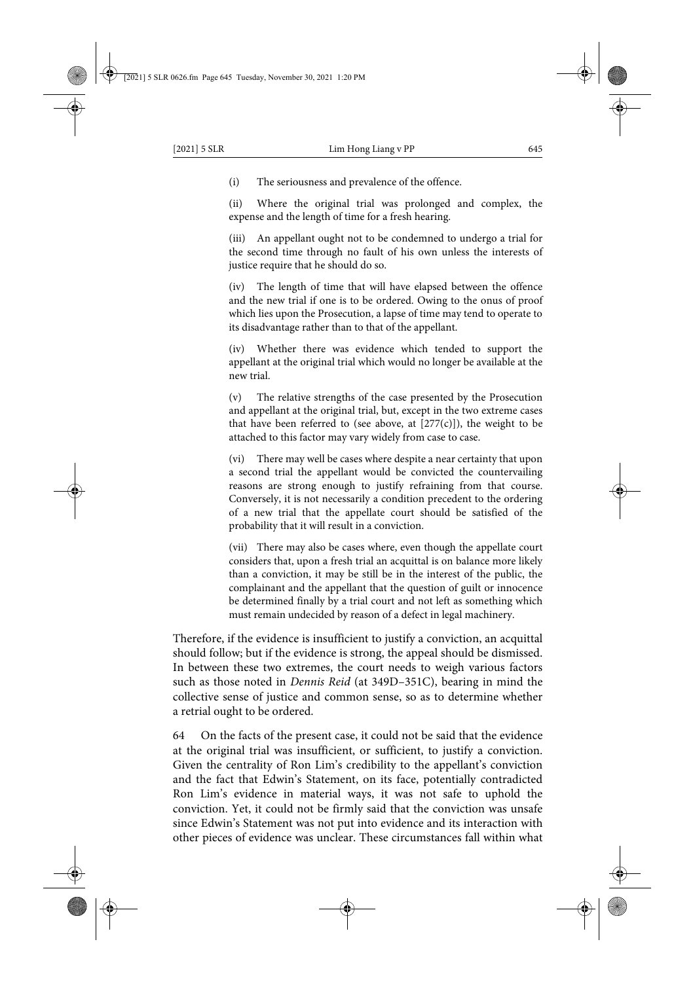(i) The seriousness and prevalence of the offence.

(ii) Where the original trial was prolonged and complex, the expense and the length of time for a fresh hearing.

(iii) An appellant ought not to be condemned to undergo a trial for the second time through no fault of his own unless the interests of justice require that he should do so.

(iv) The length of time that will have elapsed between the offence and the new trial if one is to be ordered. Owing to the onus of proof which lies upon the Prosecution, a lapse of time may tend to operate to its disadvantage rather than to that of the appellant.

(iv) Whether there was evidence which tended to support the appellant at the original trial which would no longer be available at the new trial.

(v) The relative strengths of the case presented by the Prosecution and appellant at the original trial, but, except in the two extreme cases that have been referred to (see above, at  $[277(c)]$ ), the weight to be attached to this factor may vary widely from case to case.

(vi) There may well be cases where despite a near certainty that upon a second trial the appellant would be convicted the countervailing reasons are strong enough to justify refraining from that course. Conversely, it is not necessarily a condition precedent to the ordering of a new trial that the appellate court should be satisfied of the probability that it will result in a conviction.

(vii) There may also be cases where, even though the appellate court considers that, upon a fresh trial an acquittal is on balance more likely than a conviction, it may be still be in the interest of the public, the complainant and the appellant that the question of guilt or innocence be determined finally by a trial court and not left as something which must remain undecided by reason of a defect in legal machinery.

Therefore, if the evidence is insufficient to justify a conviction, an acquittal should follow; but if the evidence is strong, the appeal should be dismissed. In between these two extremes, the court needs to weigh various factors such as those noted in *Dennis Reid* (at 349D–351C), bearing in mind the collective sense of justice and common sense, so as to determine whether a retrial ought to be ordered.

64 On the facts of the present case, it could not be said that the evidence at the original trial was insufficient, or sufficient, to justify a conviction. Given the centrality of Ron Lim's credibility to the appellant's conviction and the fact that Edwin's Statement, on its face, potentially contradicted Ron Lim's evidence in material ways, it was not safe to uphold the conviction. Yet, it could not be firmly said that the conviction was unsafe since Edwin's Statement was not put into evidence and its interaction with other pieces of evidence was unclear. These circumstances fall within what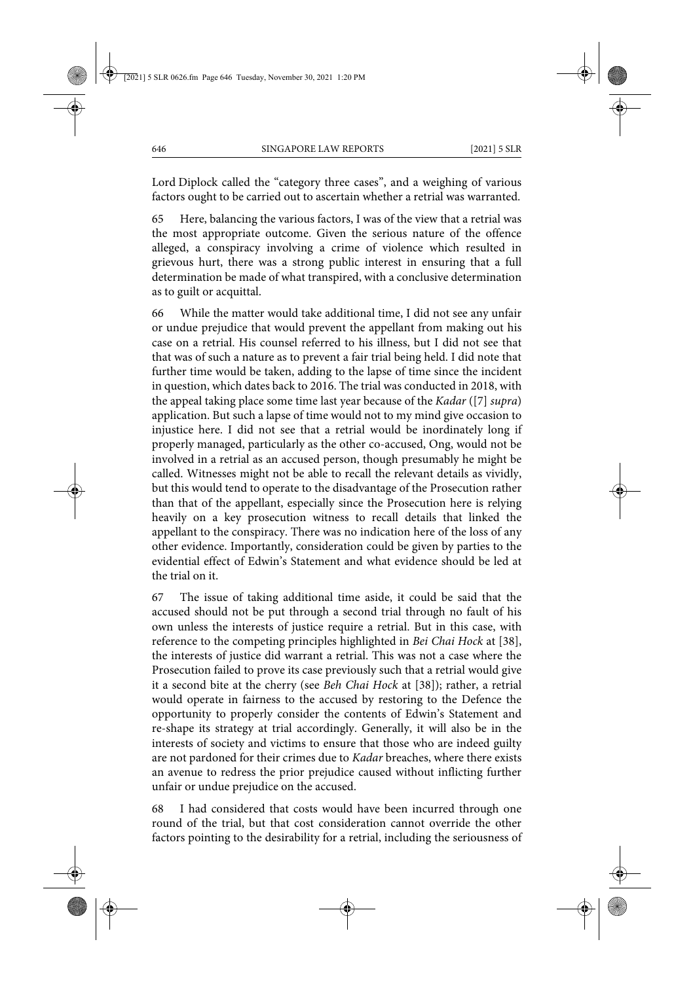Lord Diplock called the "category three cases", and a weighing of various factors ought to be carried out to ascertain whether a retrial was warranted.

65 Here, balancing the various factors, I was of the view that a retrial was the most appropriate outcome. Given the serious nature of the offence alleged, a conspiracy involving a crime of violence which resulted in grievous hurt, there was a strong public interest in ensuring that a full determination be made of what transpired, with a conclusive determination as to guilt or acquittal.

66 While the matter would take additional time, I did not see any unfair or undue prejudice that would prevent the appellant from making out his case on a retrial. His counsel referred to his illness, but I did not see that that was of such a nature as to prevent a fair trial being held. I did note that further time would be taken, adding to the lapse of time since the incident in question, which dates back to 2016. The trial was conducted in 2018, with the appeal taking place some time last year because of the *Kadar* ([7] *supra*) application. But such a lapse of time would not to my mind give occasion to injustice here. I did not see that a retrial would be inordinately long if properly managed, particularly as the other co-accused, Ong, would not be involved in a retrial as an accused person, though presumably he might be called. Witnesses might not be able to recall the relevant details as vividly, but this would tend to operate to the disadvantage of the Prosecution rather than that of the appellant, especially since the Prosecution here is relying heavily on a key prosecution witness to recall details that linked the appellant to the conspiracy. There was no indication here of the loss of any other evidence. Importantly, consideration could be given by parties to the evidential effect of Edwin's Statement and what evidence should be led at the trial on it.

67 The issue of taking additional time aside, it could be said that the accused should not be put through a second trial through no fault of his own unless the interests of justice require a retrial. But in this case, with reference to the competing principles highlighted in *Bei Chai Hock* at [38], the interests of justice did warrant a retrial. This was not a case where the Prosecution failed to prove its case previously such that a retrial would give it a second bite at the cherry (see *Beh Chai Hock* at [38]); rather, a retrial would operate in fairness to the accused by restoring to the Defence the opportunity to properly consider the contents of Edwin's Statement and re-shape its strategy at trial accordingly. Generally, it will also be in the interests of society and victims to ensure that those who are indeed guilty are not pardoned for their crimes due to *Kadar* breaches, where there exists an avenue to redress the prior prejudice caused without inflicting further unfair or undue prejudice on the accused.

68 I had considered that costs would have been incurred through one round of the trial, but that cost consideration cannot override the other factors pointing to the desirability for a retrial, including the seriousness of